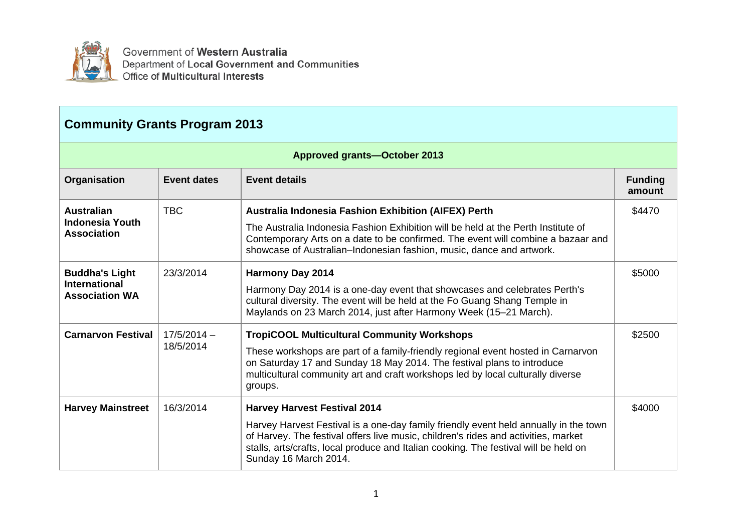

Government of Western Australia Department of Local Government and Communities Office of Multicultural Interests

| <b>Community Grants Program 2013</b>          |                    |                                                                                                                                                                                                                                                                                             |                          |
|-----------------------------------------------|--------------------|---------------------------------------------------------------------------------------------------------------------------------------------------------------------------------------------------------------------------------------------------------------------------------------------|--------------------------|
|                                               |                    | <b>Approved grants-October 2013</b>                                                                                                                                                                                                                                                         |                          |
| Organisation                                  | <b>Event dates</b> | <b>Event details</b>                                                                                                                                                                                                                                                                        | <b>Funding</b><br>amount |
| <b>Australian</b>                             | <b>TBC</b>         | <b>Australia Indonesia Fashion Exhibition (AIFEX) Perth</b>                                                                                                                                                                                                                                 | \$4470                   |
| <b>Indonesia Youth</b><br><b>Association</b>  |                    | The Australia Indonesia Fashion Exhibition will be held at the Perth Institute of<br>Contemporary Arts on a date to be confirmed. The event will combine a bazaar and<br>showcase of Australian–Indonesian fashion, music, dance and artwork.                                               |                          |
| <b>Buddha's Light</b>                         | 23/3/2014          | <b>Harmony Day 2014</b>                                                                                                                                                                                                                                                                     | \$5000                   |
| <b>International</b><br><b>Association WA</b> |                    | Harmony Day 2014 is a one-day event that showcases and celebrates Perth's<br>cultural diversity. The event will be held at the Fo Guang Shang Temple in<br>Maylands on 23 March 2014, just after Harmony Week (15-21 March).                                                                |                          |
| <b>Carnarvon Festival</b>                     | $17/5/2014 -$      | <b>TropiCOOL Multicultural Community Workshops</b>                                                                                                                                                                                                                                          | \$2500                   |
|                                               | 18/5/2014          | These workshops are part of a family-friendly regional event hosted in Carnarvon<br>on Saturday 17 and Sunday 18 May 2014. The festival plans to introduce<br>multicultural community art and craft workshops led by local culturally diverse<br>groups.                                    |                          |
| <b>Harvey Mainstreet</b>                      | 16/3/2014          | <b>Harvey Harvest Festival 2014</b>                                                                                                                                                                                                                                                         | \$4000                   |
|                                               |                    | Harvey Harvest Festival is a one-day family friendly event held annually in the town<br>of Harvey. The festival offers live music, children's rides and activities, market<br>stalls, arts/crafts, local produce and Italian cooking. The festival will be held on<br>Sunday 16 March 2014. |                          |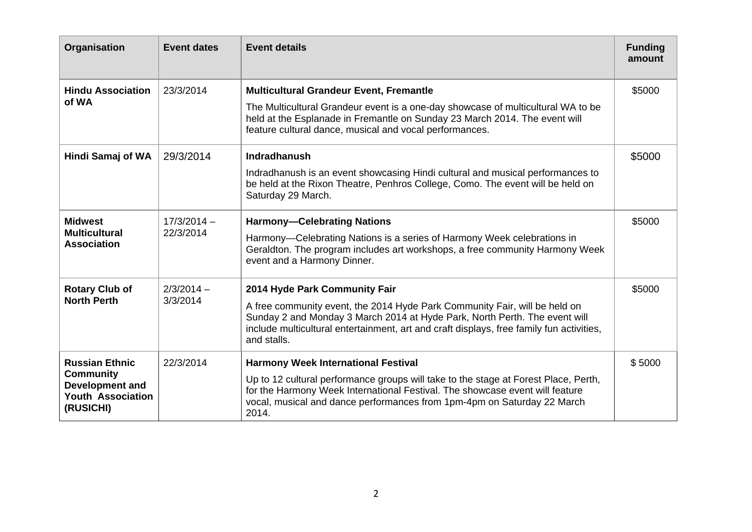| Organisation                                                                        | <b>Event dates</b>       | <b>Event details</b>                                                                                                                                                                                                                                                | <b>Funding</b><br>amount |
|-------------------------------------------------------------------------------------|--------------------------|---------------------------------------------------------------------------------------------------------------------------------------------------------------------------------------------------------------------------------------------------------------------|--------------------------|
| <b>Hindu Association</b><br>of WA                                                   | 23/3/2014                | <b>Multicultural Grandeur Event, Fremantle</b>                                                                                                                                                                                                                      | \$5000                   |
|                                                                                     |                          | The Multicultural Grandeur event is a one-day showcase of multicultural WA to be<br>held at the Esplanade in Fremantle on Sunday 23 March 2014. The event will<br>feature cultural dance, musical and vocal performances.                                           |                          |
| Hindi Samaj of WA                                                                   | 29/3/2014                | <b>Indradhanush</b>                                                                                                                                                                                                                                                 | \$5000                   |
|                                                                                     |                          | Indradhanush is an event showcasing Hindi cultural and musical performances to<br>be held at the Rixon Theatre, Penhros College, Como. The event will be held on<br>Saturday 29 March.                                                                              |                          |
| <b>Midwest</b>                                                                      | $17/3/2014 -$            | <b>Harmony-Celebrating Nations</b>                                                                                                                                                                                                                                  | \$5000                   |
| <b>Multicultural</b><br><b>Association</b>                                          | 22/3/2014                | Harmony-Celebrating Nations is a series of Harmony Week celebrations in<br>Geraldton. The program includes art workshops, a free community Harmony Week<br>event and a Harmony Dinner.                                                                              |                          |
| <b>Rotary Club of</b>                                                               | $2/3/2014 -$<br>3/3/2014 | 2014 Hyde Park Community Fair                                                                                                                                                                                                                                       | \$5000                   |
| <b>North Perth</b>                                                                  |                          | A free community event, the 2014 Hyde Park Community Fair, will be held on<br>Sunday 2 and Monday 3 March 2014 at Hyde Park, North Perth. The event will<br>include multicultural entertainment, art and craft displays, free family fun activities,<br>and stalls. |                          |
| <b>Russian Ethnic</b>                                                               | 22/3/2014                | <b>Harmony Week International Festival</b>                                                                                                                                                                                                                          | \$5000                   |
| <b>Community</b><br><b>Development and</b><br><b>Youth Association</b><br>(RUSICHI) |                          | Up to 12 cultural performance groups will take to the stage at Forest Place, Perth,<br>for the Harmony Week International Festival. The showcase event will feature<br>vocal, musical and dance performances from 1pm-4pm on Saturday 22 March<br>2014.             |                          |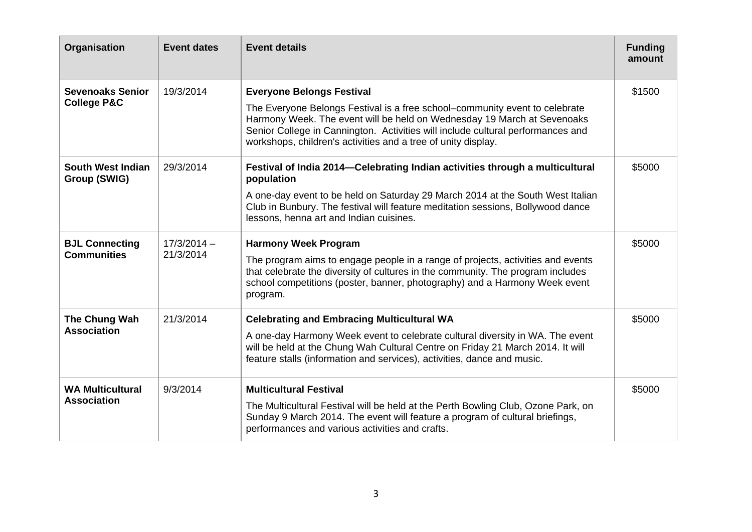| Organisation                                      | <b>Event dates</b>         | <b>Event details</b>                                                                                                                                                                                                                                                                                       | <b>Funding</b><br>amount |
|---------------------------------------------------|----------------------------|------------------------------------------------------------------------------------------------------------------------------------------------------------------------------------------------------------------------------------------------------------------------------------------------------------|--------------------------|
| <b>Sevenoaks Senior</b><br><b>College P&amp;C</b> | 19/3/2014                  | <b>Everyone Belongs Festival</b>                                                                                                                                                                                                                                                                           | \$1500                   |
|                                                   |                            | The Everyone Belongs Festival is a free school–community event to celebrate<br>Harmony Week. The event will be held on Wednesday 19 March at Sevenoaks<br>Senior College in Cannington. Activities will include cultural performances and<br>workshops, children's activities and a tree of unity display. |                          |
| <b>South West Indian</b><br>Group (SWIG)          | 29/3/2014                  | Festival of India 2014-Celebrating Indian activities through a multicultural<br>population                                                                                                                                                                                                                 | \$5000                   |
|                                                   |                            | A one-day event to be held on Saturday 29 March 2014 at the South West Italian<br>Club in Bunbury. The festival will feature meditation sessions, Bollywood dance<br>lessons, henna art and Indian cuisines.                                                                                               |                          |
| <b>BJL Connecting</b><br><b>Communities</b>       | $17/3/2014 -$<br>21/3/2014 | <b>Harmony Week Program</b>                                                                                                                                                                                                                                                                                | \$5000                   |
|                                                   |                            | The program aims to engage people in a range of projects, activities and events<br>that celebrate the diversity of cultures in the community. The program includes<br>school competitions (poster, banner, photography) and a Harmony Week event<br>program.                                               |                          |
| The Chung Wah<br><b>Association</b>               | 21/3/2014                  | <b>Celebrating and Embracing Multicultural WA</b>                                                                                                                                                                                                                                                          | \$5000                   |
|                                                   |                            | A one-day Harmony Week event to celebrate cultural diversity in WA. The event<br>will be held at the Chung Wah Cultural Centre on Friday 21 March 2014. It will<br>feature stalls (information and services), activities, dance and music.                                                                 |                          |
| <b>WA Multicultural</b><br><b>Association</b>     | 9/3/2014                   | <b>Multicultural Festival</b>                                                                                                                                                                                                                                                                              | \$5000                   |
|                                                   |                            | The Multicultural Festival will be held at the Perth Bowling Club, Ozone Park, on<br>Sunday 9 March 2014. The event will feature a program of cultural briefings,<br>performances and various activities and crafts.                                                                                       |                          |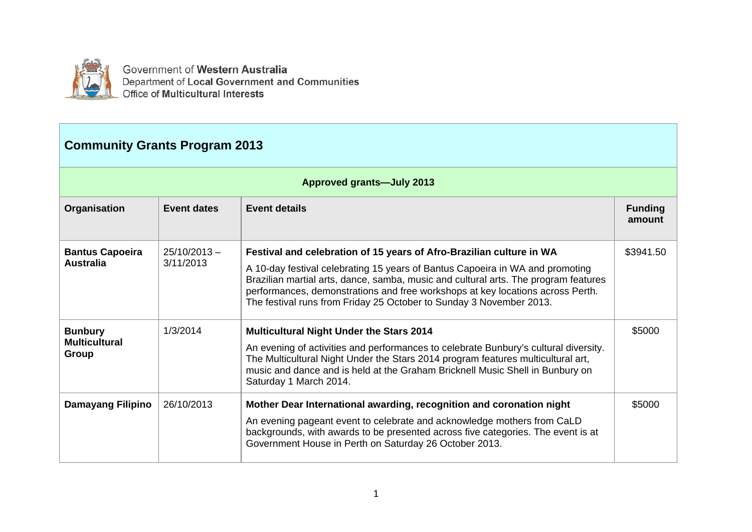

Government of Western Australia Department of Local Government and Communities Office of Multicultural Interests

## **Community Grants Program 2013**

|                                                 | <b>Approved grants-July 2013</b> |                                                                                                                                                                                                                                                                                                                                                                                                       |                          |  |  |
|-------------------------------------------------|----------------------------------|-------------------------------------------------------------------------------------------------------------------------------------------------------------------------------------------------------------------------------------------------------------------------------------------------------------------------------------------------------------------------------------------------------|--------------------------|--|--|
| Organisation                                    | Event dates                      | <b>Event details</b>                                                                                                                                                                                                                                                                                                                                                                                  | <b>Funding</b><br>amount |  |  |
| <b>Bantus Capoeira</b><br><b>Australia</b>      | $25/10/2013 -$<br>3/11/2013      | Festival and celebration of 15 years of Afro-Brazilian culture in WA<br>A 10-day festival celebrating 15 years of Bantus Capoeira in WA and promoting<br>Brazilian martial arts, dance, samba, music and cultural arts. The program features<br>performances, demonstrations and free workshops at key locations across Perth.<br>The festival runs from Friday 25 October to Sunday 3 November 2013. | \$3941.50                |  |  |
| <b>Bunbury</b><br><b>Multicultural</b><br>Group | 1/3/2014                         | <b>Multicultural Night Under the Stars 2014</b><br>An evening of activities and performances to celebrate Bunbury's cultural diversity.<br>The Multicultural Night Under the Stars 2014 program features multicultural art,<br>music and dance and is held at the Graham Bricknell Music Shell in Bunbury on<br>Saturday 1 March 2014.                                                                | \$5000                   |  |  |
| <b>Damayang Filipino</b>                        | 26/10/2013                       | Mother Dear International awarding, recognition and coronation night<br>An evening pageant event to celebrate and acknowledge mothers from CaLD<br>backgrounds, with awards to be presented across five categories. The event is at<br>Government House in Perth on Saturday 26 October 2013.                                                                                                         | \$5000                   |  |  |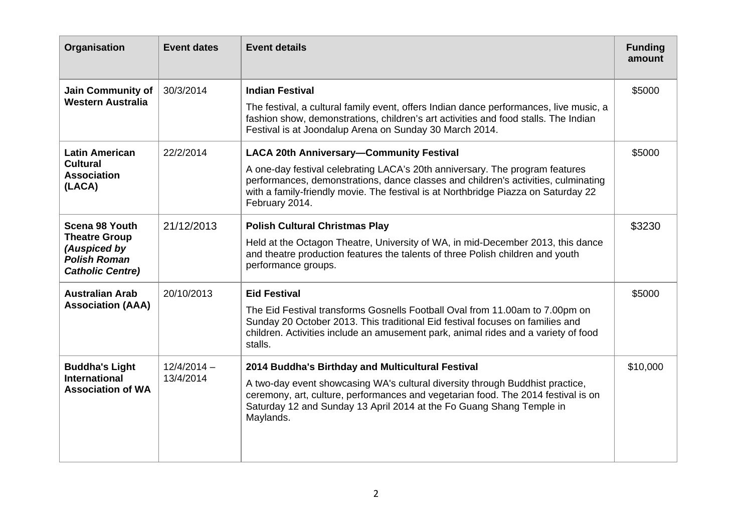| Organisation                                                                                             | <b>Event dates</b>         | <b>Event details</b>                                                                                                                                                                                                                                                                                                          | <b>Funding</b><br>amount |
|----------------------------------------------------------------------------------------------------------|----------------------------|-------------------------------------------------------------------------------------------------------------------------------------------------------------------------------------------------------------------------------------------------------------------------------------------------------------------------------|--------------------------|
| <b>Jain Community of</b><br><b>Western Australia</b>                                                     | 30/3/2014                  | <b>Indian Festival</b><br>The festival, a cultural family event, offers Indian dance performances, live music, a<br>fashion show, demonstrations, children's art activities and food stalls. The Indian<br>Festival is at Joondalup Arena on Sunday 30 March 2014.                                                            | \$5000                   |
| <b>Latin American</b><br><b>Cultural</b><br><b>Association</b><br>(LACA)                                 | 22/2/2014                  | <b>LACA 20th Anniversary-Community Festival</b><br>A one-day festival celebrating LACA's 20th anniversary. The program features<br>performances, demonstrations, dance classes and children's activities, culminating<br>with a family-friendly movie. The festival is at Northbridge Piazza on Saturday 22<br>February 2014. | \$5000                   |
| Scena 98 Youth<br><b>Theatre Group</b><br>(Auspiced by<br><b>Polish Roman</b><br><b>Catholic Centre)</b> | 21/12/2013                 | <b>Polish Cultural Christmas Play</b><br>Held at the Octagon Theatre, University of WA, in mid-December 2013, this dance<br>and theatre production features the talents of three Polish children and youth<br>performance groups.                                                                                             | \$3230                   |
| <b>Australian Arab</b><br><b>Association (AAA)</b>                                                       | 20/10/2013                 | <b>Eid Festival</b><br>The Eid Festival transforms Gosnells Football Oval from 11.00am to 7.00pm on<br>Sunday 20 October 2013. This traditional Eid festival focuses on families and<br>children. Activities include an amusement park, animal rides and a variety of food<br>stalls.                                         | \$5000                   |
| <b>Buddha's Light</b><br><b>International</b><br><b>Association of WA</b>                                | $12/4/2014 -$<br>13/4/2014 | 2014 Buddha's Birthday and Multicultural Festival<br>A two-day event showcasing WA's cultural diversity through Buddhist practice,<br>ceremony, art, culture, performances and vegetarian food. The 2014 festival is on<br>Saturday 12 and Sunday 13 April 2014 at the Fo Guang Shang Temple in<br>Maylands.                  | \$10,000                 |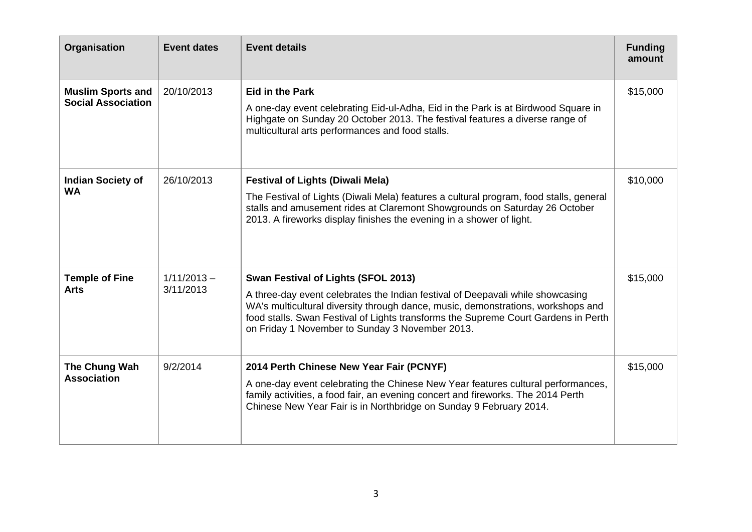| Organisation                                          | <b>Event dates</b>         | <b>Event details</b>                                                                                                                                                                                                                                                                                                                               | <b>Funding</b><br>amount |
|-------------------------------------------------------|----------------------------|----------------------------------------------------------------------------------------------------------------------------------------------------------------------------------------------------------------------------------------------------------------------------------------------------------------------------------------------------|--------------------------|
| <b>Muslim Sports and</b><br><b>Social Association</b> | 20/10/2013                 | <b>Eid in the Park</b><br>A one-day event celebrating Eid-ul-Adha, Eid in the Park is at Birdwood Square in<br>Highgate on Sunday 20 October 2013. The festival features a diverse range of<br>multicultural arts performances and food stalls.                                                                                                    | \$15,000                 |
| <b>Indian Society of</b><br><b>WA</b>                 | 26/10/2013                 | <b>Festival of Lights (Diwali Mela)</b><br>The Festival of Lights (Diwali Mela) features a cultural program, food stalls, general<br>stalls and amusement rides at Claremont Showgrounds on Saturday 26 October<br>2013. A fireworks display finishes the evening in a shower of light.                                                            | \$10,000                 |
| <b>Temple of Fine</b><br><b>Arts</b>                  | $1/11/2013 -$<br>3/11/2013 | Swan Festival of Lights (SFOL 2013)<br>A three-day event celebrates the Indian festival of Deepavali while showcasing<br>WA's multicultural diversity through dance, music, demonstrations, workshops and<br>food stalls. Swan Festival of Lights transforms the Supreme Court Gardens in Perth<br>on Friday 1 November to Sunday 3 November 2013. | \$15,000                 |
| The Chung Wah<br><b>Association</b>                   | 9/2/2014                   | 2014 Perth Chinese New Year Fair (PCNYF)<br>A one-day event celebrating the Chinese New Year features cultural performances,<br>family activities, a food fair, an evening concert and fireworks. The 2014 Perth<br>Chinese New Year Fair is in Northbridge on Sunday 9 February 2014.                                                             | \$15,000                 |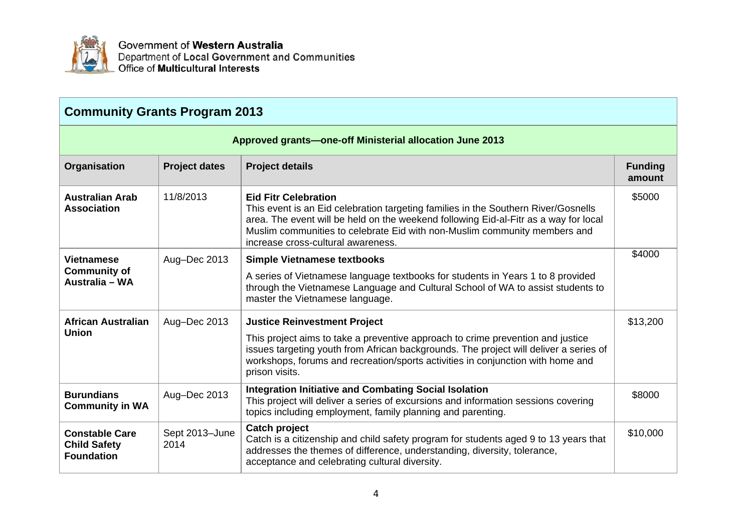

Government of Western Australia Department of Local Government and Communities<br>Office of Multicultural Interests

| <b>Community Grants Program 2013</b>                              |                        |                                                                                                                                                                                                                                                                                                                              |                          |
|-------------------------------------------------------------------|------------------------|------------------------------------------------------------------------------------------------------------------------------------------------------------------------------------------------------------------------------------------------------------------------------------------------------------------------------|--------------------------|
|                                                                   |                        | <b>Approved grants-one-off Ministerial allocation June 2013</b>                                                                                                                                                                                                                                                              |                          |
| Organisation                                                      | <b>Project dates</b>   | <b>Project details</b>                                                                                                                                                                                                                                                                                                       | <b>Funding</b><br>amount |
| <b>Australian Arab</b><br><b>Association</b>                      | 11/8/2013              | <b>Eid Fitr Celebration</b><br>This event is an Eid celebration targeting families in the Southern River/Gosnells<br>area. The event will be held on the weekend following Eid-al-Fitr as a way for local<br>Muslim communities to celebrate Eid with non-Muslim community members and<br>increase cross-cultural awareness. | \$5000                   |
| <b>Vietnamese</b><br><b>Community of</b><br>Australia - WA        | Aug-Dec 2013           | <b>Simple Vietnamese textbooks</b><br>A series of Vietnamese language textbooks for students in Years 1 to 8 provided<br>through the Vietnamese Language and Cultural School of WA to assist students to<br>master the Vietnamese language.                                                                                  | \$4000                   |
| <b>African Australian</b><br><b>Union</b>                         | Aug-Dec 2013           | <b>Justice Reinvestment Project</b><br>This project aims to take a preventive approach to crime prevention and justice<br>issues targeting youth from African backgrounds. The project will deliver a series of<br>workshops, forums and recreation/sports activities in conjunction with home and<br>prison visits.         | \$13,200                 |
| <b>Burundians</b><br><b>Community in WA</b>                       | Aug-Dec 2013           | <b>Integration Initiative and Combating Social Isolation</b><br>This project will deliver a series of excursions and information sessions covering<br>topics including employment, family planning and parenting.                                                                                                            | \$8000                   |
| <b>Constable Care</b><br><b>Child Safety</b><br><b>Foundation</b> | Sept 2013-June<br>2014 | <b>Catch project</b><br>Catch is a citizenship and child safety program for students aged 9 to 13 years that<br>addresses the themes of difference, understanding, diversity, tolerance,<br>acceptance and celebrating cultural diversity.                                                                                   | \$10,000                 |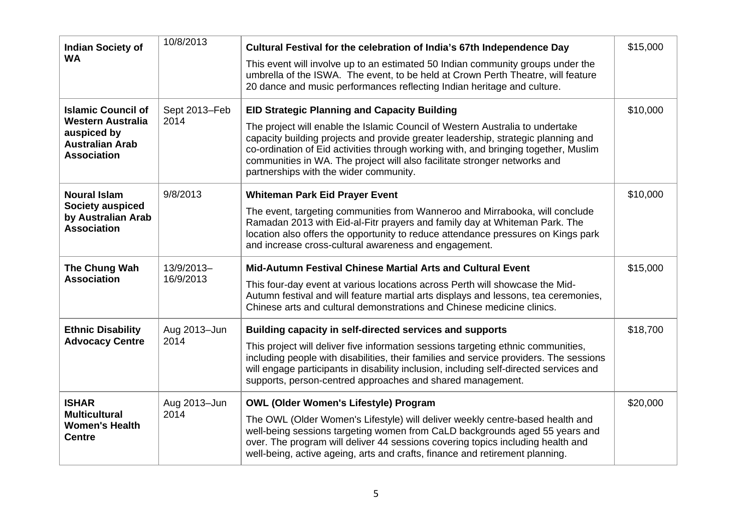| <b>Indian Society of</b><br><b>WA</b>                                                                                | 10/8/2013               | Cultural Festival for the celebration of India's 67th Independence Day<br>This event will involve up to an estimated 50 Indian community groups under the<br>umbrella of the ISWA. The event, to be held at Crown Perth Theatre, will feature<br>20 dance and music performances reflecting Indian heritage and culture.                                                                                                                | \$15,000 |
|----------------------------------------------------------------------------------------------------------------------|-------------------------|-----------------------------------------------------------------------------------------------------------------------------------------------------------------------------------------------------------------------------------------------------------------------------------------------------------------------------------------------------------------------------------------------------------------------------------------|----------|
| <b>Islamic Council of</b><br><b>Western Australia</b><br>auspiced by<br><b>Australian Arab</b><br><b>Association</b> | Sept 2013-Feb<br>2014   | <b>EID Strategic Planning and Capacity Building</b><br>The project will enable the Islamic Council of Western Australia to undertake<br>capacity building projects and provide greater leadership, strategic planning and<br>co-ordination of Eid activities through working with, and bringing together, Muslim<br>communities in WA. The project will also facilitate stronger networks and<br>partnerships with the wider community. | \$10,000 |
| <b>Noural Islam</b><br><b>Society auspiced</b><br>by Australian Arab<br><b>Association</b>                           | 9/8/2013                | <b>Whiteman Park Eid Prayer Event</b><br>The event, targeting communities from Wanneroo and Mirrabooka, will conclude<br>Ramadan 2013 with Eid-al-Fitr prayers and family day at Whiteman Park. The<br>location also offers the opportunity to reduce attendance pressures on Kings park<br>and increase cross-cultural awareness and engagement.                                                                                       | \$10,000 |
| The Chung Wah<br><b>Association</b>                                                                                  | 13/9/2013-<br>16/9/2013 | Mid-Autumn Festival Chinese Martial Arts and Cultural Event<br>This four-day event at various locations across Perth will showcase the Mid-<br>Autumn festival and will feature martial arts displays and lessons, tea ceremonies,<br>Chinese arts and cultural demonstrations and Chinese medicine clinics.                                                                                                                            | \$15,000 |
| <b>Ethnic Disability</b><br><b>Advocacy Centre</b>                                                                   | Aug 2013-Jun<br>2014    | Building capacity in self-directed services and supports<br>This project will deliver five information sessions targeting ethnic communities,<br>including people with disabilities, their families and service providers. The sessions<br>will engage participants in disability inclusion, including self-directed services and<br>supports, person-centred approaches and shared management.                                         | \$18,700 |
| <b>ISHAR</b><br><b>Multicultural</b><br><b>Women's Health</b><br><b>Centre</b>                                       | Aug 2013-Jun<br>2014    | <b>OWL (Older Women's Lifestyle) Program</b><br>The OWL (Older Women's Lifestyle) will deliver weekly centre-based health and<br>well-being sessions targeting women from CaLD backgrounds aged 55 years and<br>over. The program will deliver 44 sessions covering topics including health and<br>well-being, active ageing, arts and crafts, finance and retirement planning.                                                         | \$20,000 |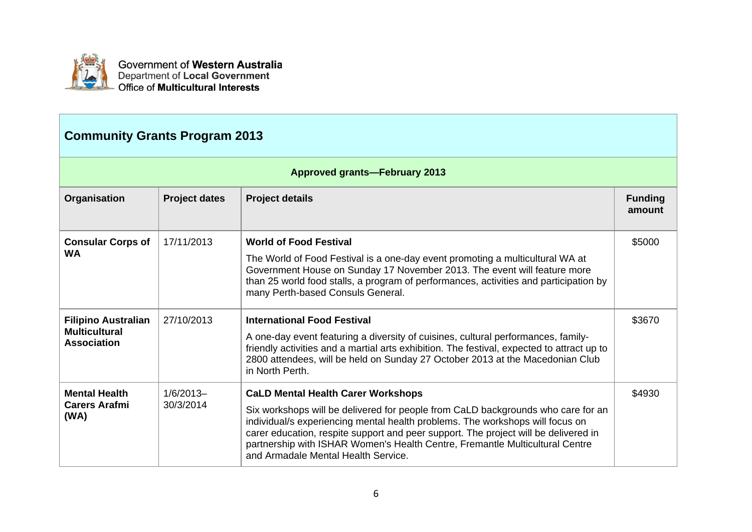

| <b>Community Grants Program 2013</b>                                     |                          |                                                                                                                                                                                                                                                                                                                                                                                                                              |                          |
|--------------------------------------------------------------------------|--------------------------|------------------------------------------------------------------------------------------------------------------------------------------------------------------------------------------------------------------------------------------------------------------------------------------------------------------------------------------------------------------------------------------------------------------------------|--------------------------|
|                                                                          |                          | <b>Approved grants-February 2013</b>                                                                                                                                                                                                                                                                                                                                                                                         |                          |
| Organisation                                                             | <b>Project dates</b>     | <b>Project details</b>                                                                                                                                                                                                                                                                                                                                                                                                       | <b>Funding</b><br>amount |
| <b>Consular Corps of</b><br><b>WA</b>                                    | 17/11/2013               | <b>World of Food Festival</b><br>The World of Food Festival is a one-day event promoting a multicultural WA at<br>Government House on Sunday 17 November 2013. The event will feature more<br>than 25 world food stalls, a program of performances, activities and participation by<br>many Perth-based Consuls General.                                                                                                     | \$5000                   |
| <b>Filipino Australian</b><br><b>Multicultural</b><br><b>Association</b> | 27/10/2013               | <b>International Food Festival</b><br>A one-day event featuring a diversity of cuisines, cultural performances, family-<br>friendly activities and a martial arts exhibition. The festival, expected to attract up to<br>2800 attendees, will be held on Sunday 27 October 2013 at the Macedonian Club<br>in North Perth.                                                                                                    | \$3670                   |
| <b>Mental Health</b><br>Carers Arafmi<br>(WA)                            | $1/6/2013-$<br>30/3/2014 | <b>CaLD Mental Health Carer Workshops</b><br>Six workshops will be delivered for people from CaLD backgrounds who care for an<br>individual/s experiencing mental health problems. The workshops will focus on<br>carer education, respite support and peer support. The project will be delivered in<br>partnership with ISHAR Women's Health Centre, Fremantle Multicultural Centre<br>and Armadale Mental Health Service. | \$4930                   |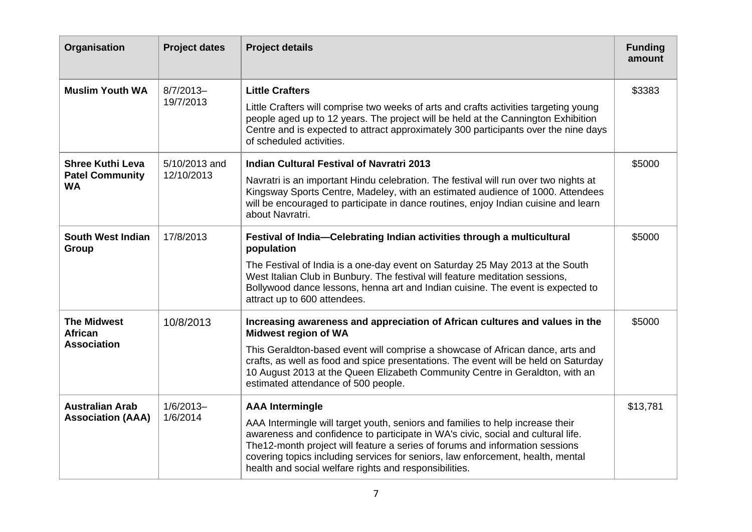| Organisation                                                   | <b>Project dates</b>        | <b>Project details</b>                                                                                                                                                                                                                                                                                                                                                                                                     | <b>Funding</b><br>amount |
|----------------------------------------------------------------|-----------------------------|----------------------------------------------------------------------------------------------------------------------------------------------------------------------------------------------------------------------------------------------------------------------------------------------------------------------------------------------------------------------------------------------------------------------------|--------------------------|
| <b>Muslim Youth WA</b>                                         | $8/7/2013-$<br>19/7/2013    | <b>Little Crafters</b><br>Little Crafters will comprise two weeks of arts and crafts activities targeting young<br>people aged up to 12 years. The project will be held at the Cannington Exhibition<br>Centre and is expected to attract approximately 300 participants over the nine days<br>of scheduled activities.                                                                                                    | \$3383                   |
| <b>Shree Kuthi Leva</b><br><b>Patel Community</b><br><b>WA</b> | 5/10/2013 and<br>12/10/2013 | <b>Indian Cultural Festival of Navratri 2013</b><br>Navratri is an important Hindu celebration. The festival will run over two nights at<br>Kingsway Sports Centre, Madeley, with an estimated audience of 1000. Attendees<br>will be encouraged to participate in dance routines, enjoy Indian cuisine and learn<br>about Navratri.                                                                                       | \$5000                   |
| South West Indian<br>Group                                     | 17/8/2013                   | Festival of India-Celebrating Indian activities through a multicultural<br>population<br>The Festival of India is a one-day event on Saturday 25 May 2013 at the South<br>West Italian Club in Bunbury. The festival will feature meditation sessions,<br>Bollywood dance lessons, henna art and Indian cuisine. The event is expected to<br>attract up to 600 attendees.                                                  | \$5000                   |
| <b>The Midwest</b><br><b>African</b><br><b>Association</b>     | 10/8/2013                   | Increasing awareness and appreciation of African cultures and values in the<br><b>Midwest region of WA</b><br>This Geraldton-based event will comprise a showcase of African dance, arts and<br>crafts, as well as food and spice presentations. The event will be held on Saturday<br>10 August 2013 at the Queen Elizabeth Community Centre in Geraldton, with an<br>estimated attendance of 500 people.                 | \$5000                   |
| <b>Australian Arab</b><br><b>Association (AAA)</b>             | $1/6/2013-$<br>1/6/2014     | <b>AAA Intermingle</b><br>AAA Intermingle will target youth, seniors and families to help increase their<br>awareness and confidence to participate in WA's civic, social and cultural life.<br>The 12-month project will feature a series of forums and information sessions<br>covering topics including services for seniors, law enforcement, health, mental<br>health and social welfare rights and responsibilities. | \$13,781                 |